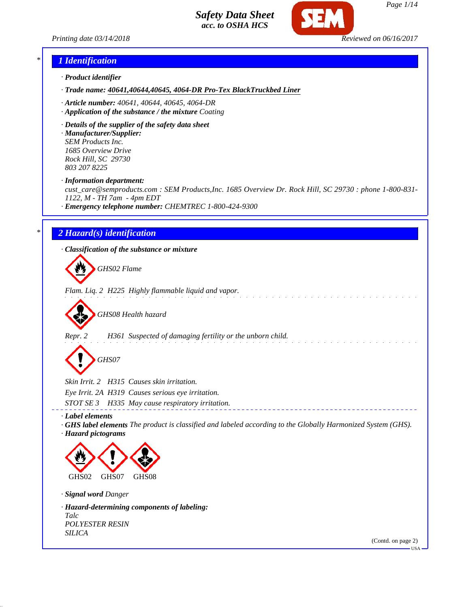*Printing date 03/14/2018 Reviewed on 06/16/2017*



#### *\* 1 Identification*

- *· Product identifier*
- *· Trade name: 40641,40644,40645, 4064-DR Pro-Tex BlackTruckbed Liner*
- *· Article number: 40641, 40644, 40645, 4064-DR*
- *· Application of the substance / the mixture Coating*
- *· Details of the supplier of the safety data sheet*

*· Manufacturer/Supplier: SEM Products Inc. 1685 Overview Drive Rock Hill, SC 29730 803 207 8225*

*· Information department:*

*cust\_care@semproducts.com : SEM Products,Inc. 1685 Overview Dr. Rock Hill, SC 29730 : phone 1-800-831- 1122, M - TH 7am - 4pm EDT*

*· Emergency telephone number: CHEMTREC 1-800-424-9300*

#### *\* 2 Hazard(s) identification*

*· Classification of the substance or mixture*

*GHS02 Flame*

*Flam. Liq. 2 H225 Highly flammable liquid and vapor.*

*GHS08 Health hazard*

*Repr. 2 H361 Suspected of damaging fertility or the unborn child.*

*GHS07*

*Skin Irrit. 2 H315 Causes skin irritation.*

*Eye Irrit. 2A H319 Causes serious eye irritation.*

*STOT SE 3 H335 May cause respiratory irritation.*

*· Label elements*

*· GHS label elements The product is classified and labeled according to the Globally Harmonized System (GHS). · Hazard pictograms*



*· Signal word Danger*

*· Hazard-determining components of labeling: Talc POLYESTER RESIN SILICA*

(Contd. on page 2)

USA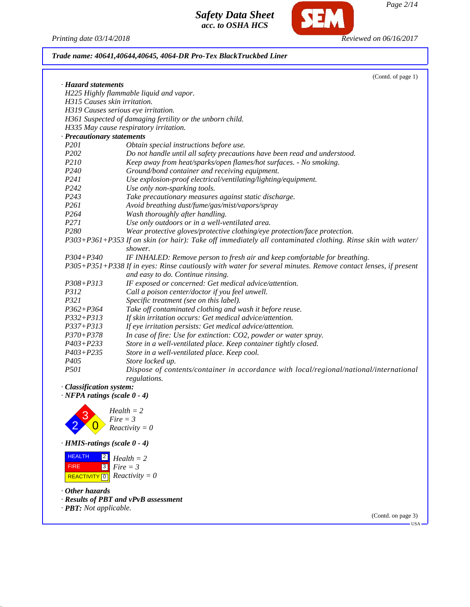**SEM** 

*Printing date 03/14/2018 Reviewed on 06/16/2017 Trade name: 40641,40644,40645, 4064-DR Pro-Tex BlackTruckbed Liner*

| H225 Highly flammable liquid and vapor.<br>H319 Causes serious eye irritation.<br>H361 Suspected of damaging fertility or the unborn child.<br>H335 May cause respiratory irritation.<br>Obtain special instructions before use.<br>Do not handle until all safety precautions have been read and understood.<br>Keep away from heat/sparks/open flames/hot surfaces. - No smoking.<br>Ground/bond container and receiving equipment.<br>Use explosion-proof electrical/ventilating/lighting/equipment.<br>Use only non-sparking tools.<br>Take precautionary measures against static discharge.<br>Avoid breathing dust/fume/gas/mist/vapors/spray<br>Wash thoroughly after handling.<br>Use only outdoors or in a well-ventilated area.<br>Wear protective gloves/protective clothing/eye protection/face protection.<br>P303+P361+P353 If on skin (or hair): Take off immediately all contaminated clothing. Rinse skin with water/<br>IF INHALED: Remove person to fresh air and keep comfortable for breathing.<br>P305+P351+P338 If in eyes: Rinse cautiously with water for several minutes. Remove contact lenses, if present<br>and easy to do. Continue rinsing.<br>IF exposed or concerned: Get medical advice/attention.<br>Call a poison center/doctor if you feel unwell. |
|-----------------------------------------------------------------------------------------------------------------------------------------------------------------------------------------------------------------------------------------------------------------------------------------------------------------------------------------------------------------------------------------------------------------------------------------------------------------------------------------------------------------------------------------------------------------------------------------------------------------------------------------------------------------------------------------------------------------------------------------------------------------------------------------------------------------------------------------------------------------------------------------------------------------------------------------------------------------------------------------------------------------------------------------------------------------------------------------------------------------------------------------------------------------------------------------------------------------------------------------------------------------------------------------|
|                                                                                                                                                                                                                                                                                                                                                                                                                                                                                                                                                                                                                                                                                                                                                                                                                                                                                                                                                                                                                                                                                                                                                                                                                                                                                         |
|                                                                                                                                                                                                                                                                                                                                                                                                                                                                                                                                                                                                                                                                                                                                                                                                                                                                                                                                                                                                                                                                                                                                                                                                                                                                                         |
|                                                                                                                                                                                                                                                                                                                                                                                                                                                                                                                                                                                                                                                                                                                                                                                                                                                                                                                                                                                                                                                                                                                                                                                                                                                                                         |
|                                                                                                                                                                                                                                                                                                                                                                                                                                                                                                                                                                                                                                                                                                                                                                                                                                                                                                                                                                                                                                                                                                                                                                                                                                                                                         |
|                                                                                                                                                                                                                                                                                                                                                                                                                                                                                                                                                                                                                                                                                                                                                                                                                                                                                                                                                                                                                                                                                                                                                                                                                                                                                         |
|                                                                                                                                                                                                                                                                                                                                                                                                                                                                                                                                                                                                                                                                                                                                                                                                                                                                                                                                                                                                                                                                                                                                                                                                                                                                                         |
|                                                                                                                                                                                                                                                                                                                                                                                                                                                                                                                                                                                                                                                                                                                                                                                                                                                                                                                                                                                                                                                                                                                                                                                                                                                                                         |
|                                                                                                                                                                                                                                                                                                                                                                                                                                                                                                                                                                                                                                                                                                                                                                                                                                                                                                                                                                                                                                                                                                                                                                                                                                                                                         |
|                                                                                                                                                                                                                                                                                                                                                                                                                                                                                                                                                                                                                                                                                                                                                                                                                                                                                                                                                                                                                                                                                                                                                                                                                                                                                         |
|                                                                                                                                                                                                                                                                                                                                                                                                                                                                                                                                                                                                                                                                                                                                                                                                                                                                                                                                                                                                                                                                                                                                                                                                                                                                                         |
|                                                                                                                                                                                                                                                                                                                                                                                                                                                                                                                                                                                                                                                                                                                                                                                                                                                                                                                                                                                                                                                                                                                                                                                                                                                                                         |
|                                                                                                                                                                                                                                                                                                                                                                                                                                                                                                                                                                                                                                                                                                                                                                                                                                                                                                                                                                                                                                                                                                                                                                                                                                                                                         |
|                                                                                                                                                                                                                                                                                                                                                                                                                                                                                                                                                                                                                                                                                                                                                                                                                                                                                                                                                                                                                                                                                                                                                                                                                                                                                         |
|                                                                                                                                                                                                                                                                                                                                                                                                                                                                                                                                                                                                                                                                                                                                                                                                                                                                                                                                                                                                                                                                                                                                                                                                                                                                                         |
|                                                                                                                                                                                                                                                                                                                                                                                                                                                                                                                                                                                                                                                                                                                                                                                                                                                                                                                                                                                                                                                                                                                                                                                                                                                                                         |
|                                                                                                                                                                                                                                                                                                                                                                                                                                                                                                                                                                                                                                                                                                                                                                                                                                                                                                                                                                                                                                                                                                                                                                                                                                                                                         |
|                                                                                                                                                                                                                                                                                                                                                                                                                                                                                                                                                                                                                                                                                                                                                                                                                                                                                                                                                                                                                                                                                                                                                                                                                                                                                         |
|                                                                                                                                                                                                                                                                                                                                                                                                                                                                                                                                                                                                                                                                                                                                                                                                                                                                                                                                                                                                                                                                                                                                                                                                                                                                                         |
|                                                                                                                                                                                                                                                                                                                                                                                                                                                                                                                                                                                                                                                                                                                                                                                                                                                                                                                                                                                                                                                                                                                                                                                                                                                                                         |
|                                                                                                                                                                                                                                                                                                                                                                                                                                                                                                                                                                                                                                                                                                                                                                                                                                                                                                                                                                                                                                                                                                                                                                                                                                                                                         |
|                                                                                                                                                                                                                                                                                                                                                                                                                                                                                                                                                                                                                                                                                                                                                                                                                                                                                                                                                                                                                                                                                                                                                                                                                                                                                         |
|                                                                                                                                                                                                                                                                                                                                                                                                                                                                                                                                                                                                                                                                                                                                                                                                                                                                                                                                                                                                                                                                                                                                                                                                                                                                                         |
|                                                                                                                                                                                                                                                                                                                                                                                                                                                                                                                                                                                                                                                                                                                                                                                                                                                                                                                                                                                                                                                                                                                                                                                                                                                                                         |
| Specific treatment (see on this label).                                                                                                                                                                                                                                                                                                                                                                                                                                                                                                                                                                                                                                                                                                                                                                                                                                                                                                                                                                                                                                                                                                                                                                                                                                                 |
| Take off contaminated clothing and wash it before reuse.                                                                                                                                                                                                                                                                                                                                                                                                                                                                                                                                                                                                                                                                                                                                                                                                                                                                                                                                                                                                                                                                                                                                                                                                                                |
| If skin irritation occurs: Get medical advice/attention.                                                                                                                                                                                                                                                                                                                                                                                                                                                                                                                                                                                                                                                                                                                                                                                                                                                                                                                                                                                                                                                                                                                                                                                                                                |
| If eye irritation persists: Get medical advice/attention.                                                                                                                                                                                                                                                                                                                                                                                                                                                                                                                                                                                                                                                                                                                                                                                                                                                                                                                                                                                                                                                                                                                                                                                                                               |
| In case of fire: Use for extinction: CO2, powder or water spray.                                                                                                                                                                                                                                                                                                                                                                                                                                                                                                                                                                                                                                                                                                                                                                                                                                                                                                                                                                                                                                                                                                                                                                                                                        |
| Store in a well-ventilated place. Keep container tightly closed.                                                                                                                                                                                                                                                                                                                                                                                                                                                                                                                                                                                                                                                                                                                                                                                                                                                                                                                                                                                                                                                                                                                                                                                                                        |
| Store in a well-ventilated place. Keep cool.                                                                                                                                                                                                                                                                                                                                                                                                                                                                                                                                                                                                                                                                                                                                                                                                                                                                                                                                                                                                                                                                                                                                                                                                                                            |
|                                                                                                                                                                                                                                                                                                                                                                                                                                                                                                                                                                                                                                                                                                                                                                                                                                                                                                                                                                                                                                                                                                                                                                                                                                                                                         |
| Dispose of contents/container in accordance with local/regional/national/international                                                                                                                                                                                                                                                                                                                                                                                                                                                                                                                                                                                                                                                                                                                                                                                                                                                                                                                                                                                                                                                                                                                                                                                                  |
|                                                                                                                                                                                                                                                                                                                                                                                                                                                                                                                                                                                                                                                                                                                                                                                                                                                                                                                                                                                                                                                                                                                                                                                                                                                                                         |
| Store locked up.<br>regulations.                                                                                                                                                                                                                                                                                                                                                                                                                                                                                                                                                                                                                                                                                                                                                                                                                                                                                                                                                                                                                                                                                                                                                                                                                                                        |

*· Results of PBT and vPvB assessment*

*· PBT: Not applicable.*

(Contd. on page 3)  $-USA$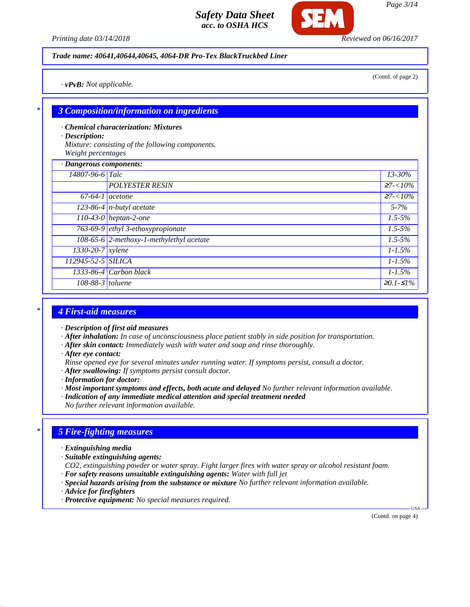*Printing date 03/14/2018 Reviewed on 06/16/2017*

#### *Trade name: 40641,40644,40645, 4064-DR Pro-Tex BlackTruckbed Liner*

(Contd. of page 2)

*· vPvB: Not applicable.*

#### *\* 3 Composition/information on ingredients*

- *· Chemical characterization: Mixtures*
- *· Description:*

*Mixture: consisting of the following components. Weight percentages*

| · Dangerous components:   |                                          |                 |  |
|---------------------------|------------------------------------------|-----------------|--|
| 14807-96-6 Talc           |                                          | 13-30%          |  |
|                           | <b>POLYESTER RESIN</b>                   | $\geq 7 < 10\%$ |  |
| $67-64-1$ acetone         |                                          | $27 - 10\%$     |  |
|                           | $\overline{123-86-4}$ n-butyl acetate    | $5 - 7\%$       |  |
|                           | 110-43-0 heptan-2-one                    | $1.5 - 5\%$     |  |
|                           | 763-69-9 ethyl 3-ethoxypropionate        | $1.5 - 5\%$     |  |
|                           | 108-65-6 2-methoxy-1-methylethyl acetate | $1.5 - 5\%$     |  |
| $\sqrt{1330-20-7}$ xylene |                                          | $1 - 1.5\%$     |  |
| 112945-52-5 SILICA        |                                          | $1 - 1.5\%$     |  |
|                           | $1333-86-4$ Carbon black                 | $1 - 1.5\%$     |  |
| $108-88-3$ toluene        |                                          | $≥0.1-S1%$      |  |

#### *\* 4 First-aid measures*

- *· Description of first aid measures*
- *· After inhalation: In case of unconsciousness place patient stably in side position for transportation.*
- *· After skin contact: Immediately wash with water and soap and rinse thoroughly.*
- *· After eye contact:*
- *Rinse opened eye for several minutes under running water. If symptoms persist, consult a doctor.*
- *· After swallowing: If symptoms persist consult doctor.*
- *· Information for doctor:*
- *· Most important symptoms and effects, both acute and delayed No further relevant information available.*
- *· Indication of any immediate medical attention and special treatment needed*
- *No further relevant information available.*

#### *\* 5 Fire-fighting measures*

- *· Extinguishing media*
- *· Suitable extinguishing agents:*
- *CO2, extinguishing powder or water spray. Fight larger fires with water spray or alcohol resistant foam.*
- *· For safety reasons unsuitable extinguishing agents: Water with full jet*
- *· Special hazards arising from the substance or mixture No further relevant information available.*
- *· Advice for firefighters*
- *· Protective equipment: No special measures required.*

(Contd. on page 4)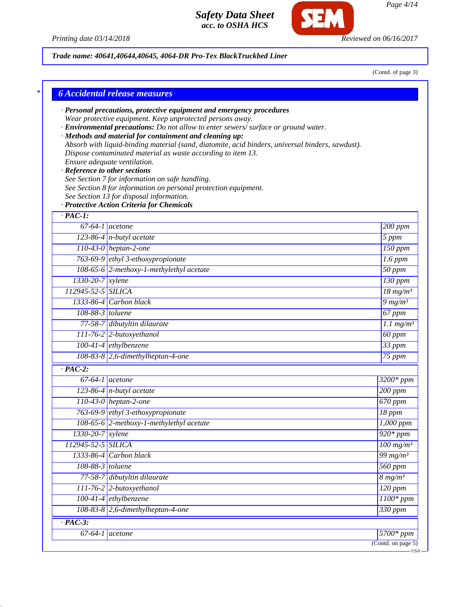

Г



# *Trade name: 40641,40644,40645, 4064-DR Pro-Tex BlackTruckbed Liner*

(Contd. of page 3)

|                               | · Personal precautions, protective equipment and emergency procedures<br>Wear protective equipment. Keep unprotected persons away. |                                                |
|-------------------------------|------------------------------------------------------------------------------------------------------------------------------------|------------------------------------------------|
|                               | · Environmental precautions: Do not allow to enter sewers/ surface or ground water.                                                |                                                |
|                               | · Methods and material for containment and cleaning up:                                                                            |                                                |
|                               | Absorb with liquid-binding material (sand, diatomite, acid binders, universal binders, sawdust).                                   |                                                |
|                               | Dispose contaminated material as waste according to item 13.<br>Ensure adequate ventilation.                                       |                                                |
| · Reference to other sections |                                                                                                                                    |                                                |
|                               | See Section 7 for information on safe handling.                                                                                    |                                                |
|                               | See Section 8 for information on personal protection equipment.                                                                    |                                                |
|                               | See Section 13 for disposal information.                                                                                           |                                                |
|                               | · Protective Action Criteria for Chemicals                                                                                         |                                                |
| $\cdot$ PAC-1:                |                                                                                                                                    |                                                |
| $\overline{67-64-1}$ acetone  |                                                                                                                                    | 200 ppm                                        |
|                               | $123-86-4$ n-butyl acetate                                                                                                         | $5$ ppm                                        |
|                               | $110-43-0$ heptan-2-one                                                                                                            | $\overline{150}$ ppm                           |
|                               | 763-69-9 ethyl 3-ethoxypropionate                                                                                                  | $1.6$ ppm                                      |
|                               | 108-65-6 2-methoxy-1-methylethyl acetate                                                                                           | $50$ ppm                                       |
| $1330-20-7$ xylene            |                                                                                                                                    | $\overline{130}$ ppm                           |
| 112945-52-5 SILICA            |                                                                                                                                    | $\frac{18 \text{ mg/m}^3}{100 \text{ mg/m}^3}$ |
|                               | $1333-86-4$ Carbon black                                                                                                           | $9 \frac{mg}{m^3}$                             |
| $108-88-3$ toluene            |                                                                                                                                    | 67 ppm                                         |
|                               | 77-58-7 dibutyltin dilaurate                                                                                                       | $\overline{1.1 \text{ mg/m}^3}$                |
|                               | $111-76-2$ 2-butoxyethanol                                                                                                         | 60 ppm                                         |
|                               | $100-41-4$ ethylbenzene                                                                                                            | $33$ ppm                                       |
|                               | $108-83-8$ 2,6-dimethylheptan-4-one                                                                                                | $75$ ppm                                       |
| $\cdot$ PAC-2:                |                                                                                                                                    |                                                |
| $\overline{67}$ -64-1 acetone |                                                                                                                                    | 3200* ppm                                      |
|                               | 123-86-4 $n$ -butyl acetate                                                                                                        | 200 ppm                                        |
|                               | 110-43-0 heptan-2-one                                                                                                              | 670 ppm                                        |
|                               | 763-69-9 ethyl 3-ethoxypropionate                                                                                                  | $18$ ppm                                       |
|                               | 108-65-6 2-methoxy-1-methylethyl acetate                                                                                           | $\overline{1,000}$ ppm                         |
| 1330-20-7 xylene              |                                                                                                                                    | $920*ppm$                                      |
| 112945-52-5 SILICA            |                                                                                                                                    | $100$ mg/m <sup>3</sup>                        |
|                               | $1333-86-4$ Carbon black                                                                                                           | 99 mg/m $3$                                    |
| 108-88-3 toluene              |                                                                                                                                    | $560$ ppm                                      |
|                               | 77-58-7 dibutyltin dilaurate                                                                                                       | $8 \, mg/m^3$                                  |
|                               | 111-76-2 2-butoxyethanol                                                                                                           | $120$ ppm                                      |
|                               | $100-41-4$ ethylbenzene                                                                                                            | $1100*$ ppm                                    |
|                               | $108-83-8$ 2,6-dimethylheptan-4-one                                                                                                | 330 ppm                                        |
| $\cdot$ PAC-3:                |                                                                                                                                    |                                                |
|                               | $67-64-1$ acetone                                                                                                                  | $5700*ppm$                                     |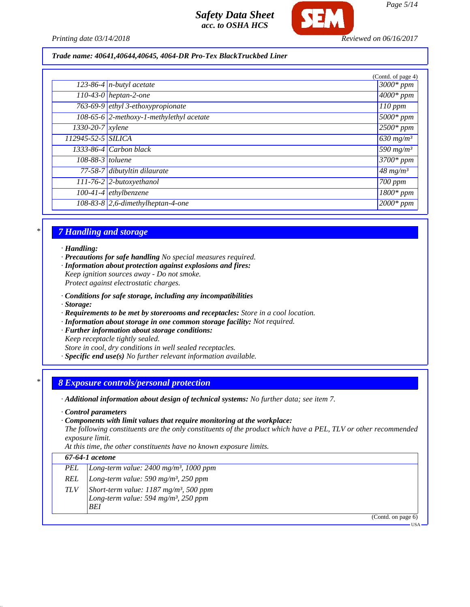

*Printing date 03/14/2018 Reviewed on 06/16/2017*

*Trade name: 40641,40644,40645, 4064-DR Pro-Tex BlackTruckbed Liner*

|                    |                                          | (Contd. of page 4)             |
|--------------------|------------------------------------------|--------------------------------|
|                    | $\overline{123-86-4}$ n-butyl acetate    | $3000*ppm$                     |
|                    | $110-43-0$ heptan-2-one                  | $\sqrt{4000*}$ ppm             |
|                    | 763-69-9 ethyl 3-ethoxypropionate        | $110$ ppm                      |
|                    | 108-65-6 2-methoxy-1-methylethyl acetate | $\frac{1}{6000*}$ ppm          |
| $1330-20-7$ xylene |                                          | $2500*ppm$                     |
| 112945-52-5 SILICA |                                          | $630$ mg/m <sup>3</sup>        |
|                    | $1333-86-4$ Carbon black                 | $\sqrt{590}$ mg/m <sup>3</sup> |
| 108-88-3 toluene   |                                          | $3700*$ ppm                    |
|                    | 77-58-7 dibutyltin dilaurate             | $48 \frac{mg}{m^3}$            |
|                    | 111-76-2 2-butoxyethanol                 | 700 ppm                        |
|                    | $100-41-4$ ethylbenzene                  | $\overline{1800}$ * ppm        |
|                    | $108-83-8$ 2,6-dimethylheptan-4-one      | $2000*$ ppm                    |

## *\* 7 Handling and storage*

*· Handling:*

*· Precautions for safe handling No special measures required.*

*· Information about protection against explosions and fires: Keep ignition sources away - Do not smoke.*

*Protect against electrostatic charges.*

- *· Conditions for safe storage, including any incompatibilities*
- *· Storage:*
- *· Requirements to be met by storerooms and receptacles: Store in a cool location.*
- *· Information about storage in one common storage facility: Not required.*
- *· Further information about storage conditions:*

*Keep receptacle tightly sealed.*

*Store in cool, dry conditions in well sealed receptacles.*

*· Specific end use(s) No further relevant information available.*

#### *\* 8 Exposure controls/personal protection*

- *· Additional information about design of technical systems: No further data; see item 7.*
- *· Control parameters*
- *· Components with limit values that require monitoring at the workplace:*

*The following constituents are the only constituents of the product which have a PEL, TLV or other recommended exposure limit.*

*At this time, the other constituents have no known exposure limits.*

## *67-64-1 acetone*

- *PEL Long-term value: 2400 mg/m³, 1000 ppm*
- *REL Long-term value: 590 mg/m³, 250 ppm*
- *TLV Short-term value: 1187 mg/m³, 500 ppm Long-term value: 594 mg/m³, 250 ppm*
	- *BEI*

(Contd. on page 6)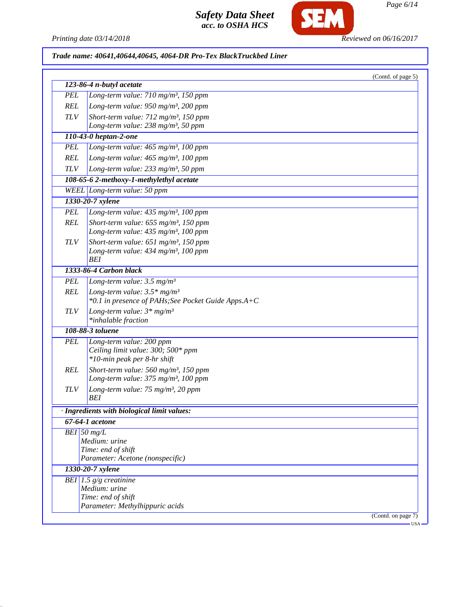

*Page 6/14*

*Printing date 03/14/2018 Reviewed on 06/16/2017*

# *Trade name: 40641,40644,40645, 4064-DR Pro-Tex BlackTruckbed Liner*

|               | 123-86-4 n-butyl acetate                                                                              | (Contd. of page 5) |
|---------------|-------------------------------------------------------------------------------------------------------|--------------------|
| <b>PEL</b>    | Long-term value: 710 mg/m <sup>3</sup> , 150 ppm                                                      |                    |
| <b>REL</b>    | Long-term value: $950$ mg/m <sup>3</sup> , 200 ppm                                                    |                    |
| <b>TLV</b>    | Short-term value: 712 mg/m <sup>3</sup> , 150 ppm                                                     |                    |
|               | Long-term value: $238 \text{ mg/m}^3$ , 50 ppm                                                        |                    |
|               | 110-43-0 heptan-2-one                                                                                 |                    |
| <b>PEL</b>    | Long-term value: $465$ mg/m <sup>3</sup> , 100 ppm                                                    |                    |
| <b>REL</b>    | Long-term value: 465 mg/m <sup>3</sup> , 100 ppm                                                      |                    |
| $TLV$         | Long-term value: $233$ mg/m <sup>3</sup> , 50 ppm                                                     |                    |
|               | 108-65-6 2-methoxy-1-methylethyl acetate                                                              |                    |
|               | WEEL Long-term value: 50 ppm                                                                          |                    |
|               | 1330-20-7 xylene                                                                                      |                    |
| <b>PEL</b>    | Long-term value: 435 mg/m <sup>3</sup> , 100 ppm                                                      |                    |
| <b>REL</b>    | Short-term value: $655$ mg/m <sup>3</sup> , 150 ppm                                                   |                    |
|               | Long-term value: 435 mg/m <sup>3</sup> , 100 ppm                                                      |                    |
| <b>TLV</b>    | Short-term value: $651$ mg/m <sup>3</sup> , 150 ppm                                                   |                    |
|               | Long-term value: $434$ mg/m <sup>3</sup> , 100 ppm                                                    |                    |
|               | BEI                                                                                                   |                    |
|               | 1333-86-4 Carbon black                                                                                |                    |
| <b>PEL</b>    | Long-term value: $3.5 \text{ mg/m}^3$                                                                 |                    |
| <b>REL</b>    | Long-term value: $3.5*$ mg/m <sup>3</sup><br>*0.1 in presence of PAHs; See Pocket Guide Apps.A+C      |                    |
| <b>TLV</b>    | Long-term value: $3*mg/m^3$<br>*inhalable fraction                                                    |                    |
|               | 108-88-3 toluene                                                                                      |                    |
| <b>PEL</b>    | Long-term value: 200 ppm<br>Ceiling limit value: 300; 500* ppm<br>*10-min peak per 8-hr shift         |                    |
| <b>REL</b>    | Short-term value: 560 mg/m <sup>3</sup> , 150 ppm<br>Long-term value: 375 mg/m <sup>3</sup> , 100 ppm |                    |
| <b>TLV</b>    | Long-term value: $75 \text{ mg/m}^3$ , 20 ppm<br>BEI                                                  |                    |
|               | · Ingredients with biological limit values:                                                           |                    |
|               | 67-64-1 acetone                                                                                       |                    |
| $BEI$ 50 mg/L |                                                                                                       |                    |
|               | Medium: urine                                                                                         |                    |
|               | Time: end of shift<br>Parameter: Acetone (nonspecific)                                                |                    |
|               |                                                                                                       |                    |
|               | 1330-20-7 xylene                                                                                      |                    |
|               | BEI 1.5 $g/g$ creatinine<br>Medium: urine                                                             |                    |
|               | Time: end of shift                                                                                    |                    |
|               | Parameter: Methylhippuric acids                                                                       |                    |
|               |                                                                                                       | (Contd. on page 7) |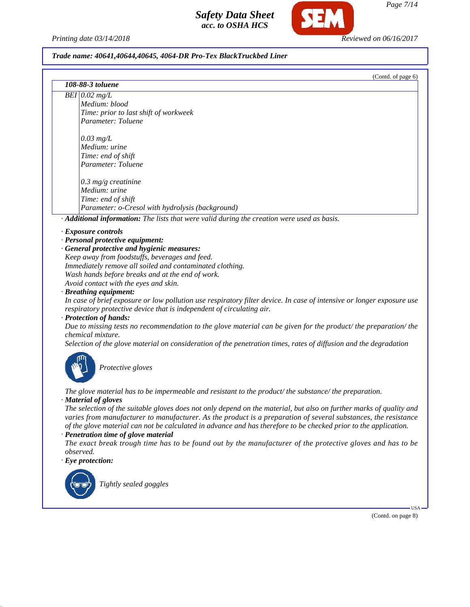*Printing date 03/14/2018 Reviewed on 06/16/2017*

*Safety Data Sheet acc. to OSHA HCS*

#### *Trade name: 40641,40644,40645, 4064-DR Pro-Tex BlackTruckbed Liner*

| (Contd. of page 6)                                                                                                                                                                             |  |
|------------------------------------------------------------------------------------------------------------------------------------------------------------------------------------------------|--|
| 108-88-3 toluene                                                                                                                                                                               |  |
| $\overline{BEI}$ 0.02 mg/L                                                                                                                                                                     |  |
| Medium: blood                                                                                                                                                                                  |  |
| Time: prior to last shift of workweek                                                                                                                                                          |  |
| Parameter: Toluene                                                                                                                                                                             |  |
| $0.03$ mg/L                                                                                                                                                                                    |  |
| Medium: urine                                                                                                                                                                                  |  |
| Time: end of shift                                                                                                                                                                             |  |
| Parameter: Toluene                                                                                                                                                                             |  |
| $0.3$ mg/g creatinine                                                                                                                                                                          |  |
| Medium: urine                                                                                                                                                                                  |  |
| Time: end of shift                                                                                                                                                                             |  |
| Parameter: o-Cresol with hydrolysis (background)                                                                                                                                               |  |
| · Additional information: The lists that were valid during the creation were used as basis.                                                                                                    |  |
| · Exposure controls                                                                                                                                                                            |  |
| · Personal protective equipment:                                                                                                                                                               |  |
| · General protective and hygienic measures:                                                                                                                                                    |  |
| Keep away from foodstuffs, beverages and feed.                                                                                                                                                 |  |
| Immediately remove all soiled and contaminated clothing.                                                                                                                                       |  |
| Wash hands before breaks and at the end of work.                                                                                                                                               |  |
| Avoid contact with the eyes and skin.                                                                                                                                                          |  |
| · Breathing equipment:                                                                                                                                                                         |  |
| In case of brief exposure or low pollution use respiratory filter device. In case of intensive or longer exposure use<br>respiratory protective device that is independent of circulating air. |  |
| · Protection of hands:                                                                                                                                                                         |  |
| Due to missing tests no recommendation to the glove material can be given for the product/ the preparation/ the<br>chemical mixture.                                                           |  |

*Selection of the glove material on consideration of the penetration times, rates of diffusion and the degradation*



*Protective gloves*

*The glove material has to be impermeable and resistant to the product/ the substance/ the preparation. · Material of gloves*

*The selection of the suitable gloves does not only depend on the material, but also on further marks of quality and varies from manufacturer to manufacturer. As the product is a preparation of several substances, the resistance of the glove material can not be calculated in advance and has therefore to be checked prior to the application.*

*· Penetration time of glove material*

*The exact break trough time has to be found out by the manufacturer of the protective gloves and has to be observed.*

#### *· Eye protection:*



*Tightly sealed goggles*

(Contd. on page 8)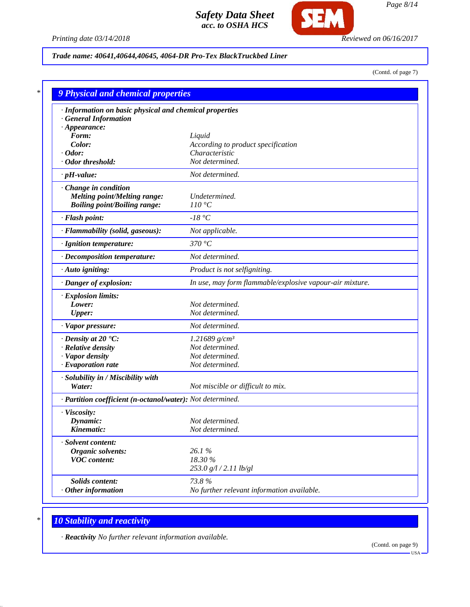

### *Printing date 03/14/2018 Reviewed on 06/16/2017*

## *Trade name: 40641,40644,40645, 4064-DR Pro-Tex BlackTruckbed Liner*

(Contd. of page 7)

| · Information on basic physical and chemical properties    |                                                          |
|------------------------------------------------------------|----------------------------------------------------------|
| <b>General Information</b>                                 |                                                          |
| $\cdot$ Appearance:                                        |                                                          |
| Form:                                                      | Liquid                                                   |
| Color:<br>$\cdot$ Odor:                                    | According to product specification<br>Characteristic     |
| · Odor threshold:                                          | Not determined.                                          |
| $\cdot$ pH-value:                                          | Not determined.                                          |
| Change in condition                                        |                                                          |
| <b>Melting point/Melting range:</b>                        | Undetermined.                                            |
| <b>Boiling point/Boiling range:</b>                        | 110 °C                                                   |
| · Flash point:                                             | $-18 °C$                                                 |
| · Flammability (solid, gaseous):                           | Not applicable.                                          |
| · Ignition temperature:                                    | 370 °C                                                   |
| · Decomposition temperature:                               | Not determined.                                          |
| · Auto igniting:                                           | Product is not selfigniting.                             |
| · Danger of explosion:                                     | In use, may form flammable/explosive vapour-air mixture. |
| · Explosion limits:                                        |                                                          |
| Lower:                                                     | Not determined.                                          |
| <b>Upper:</b>                                              | Not determined.                                          |
| · Vapor pressure:                                          | Not determined.                                          |
| $\cdot$ Density at 20 $\cdot$ C:                           | $1.21689$ g/cm <sup>3</sup>                              |
| · Relative density                                         | Not determined.                                          |
| · Vapor density                                            | Not determined.                                          |
| · Evaporation rate                                         | Not determined.                                          |
| · Solubility in / Miscibility with                         |                                                          |
| Water:                                                     | Not miscible or difficult to mix.                        |
| · Partition coefficient (n-octanol/water): Not determined. |                                                          |
| · Viscosity:                                               |                                                          |
| Dynamic:                                                   | Not determined.                                          |
| Kinematic:                                                 | Not determined.                                          |
| · Solvent content:                                         |                                                          |
| Organic solvents:                                          | 26.1%                                                    |
| <b>VOC</b> content:                                        | 18.30 %                                                  |
|                                                            | 253.0 g/l / 2.11 lb/gl                                   |
| Solids content:                                            | 73.8%                                                    |
| $·$ Other information                                      | No further relevant information available.               |

# *\* 10 Stability and reactivity*

*· Reactivity No further relevant information available.*

(Contd. on page 9)  $-<sub>USA</sub>$ 

*Page 8/14*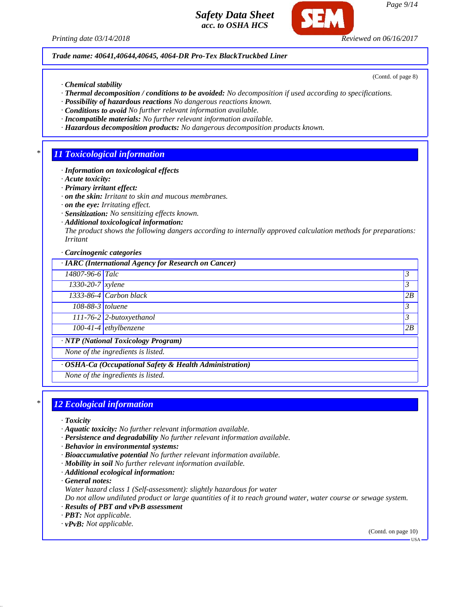*Printing date 03/14/2018 Reviewed on 06/16/2017*

*Trade name: 40641,40644,40645, 4064-DR Pro-Tex BlackTruckbed Liner*

*· Chemical stability*

- *· Thermal decomposition / conditions to be avoided: No decomposition if used according to specifications.*
- *· Possibility of hazardous reactions No dangerous reactions known.*
- *· Conditions to avoid No further relevant information available.*
- *· Incompatible materials: No further relevant information available.*
- *· Hazardous decomposition products: No dangerous decomposition products known.*

## *\* 11 Toxicological information*

- *· Information on toxicological effects*
- *· Acute toxicity:*
- *· Primary irritant effect:*
- *· on the skin: Irritant to skin and mucous membranes.*
- *· on the eye: Irritating effect.*
- *· Sensitization: No sensitizing effects known.*
- *· Additional toxicological information:*

*The product shows the following dangers according to internally approved calculation methods for preparations: Irritant*

*· Carcinogenic categories*

*· IARC (International Agency for Research on Cancer)*

*14807-96-6 Talc 3 1330-20-7 xylene 3 1333-86-4 Carbon black 2B 108-88-3 toluene 3 111-76-2 2-butoxyethanol 3* 

*100-41-4 ethylbenzene 2B*

*· NTP (National Toxicology Program)*

*None of the ingredients is listed.*

*· OSHA-Ca (Occupational Safety & Health Administration)*

*None of the ingredients is listed.*

## *\* 12 Ecological information*

- *· Toxicity*
- *· Aquatic toxicity: No further relevant information available.*
- *· Persistence and degradability No further relevant information available.*
- *· Behavior in environmental systems:*
- *· Bioaccumulative potential No further relevant information available.*
- *· Mobility in soil No further relevant information available.*
- *· Additional ecological information:*

*· General notes:*

*Water hazard class 1 (Self-assessment): slightly hazardous for water*

*Do not allow undiluted product or large quantities of it to reach ground water, water course or sewage system. · Results of PBT and vPvB assessment*

- *· PBT: Not applicable.*
- *· vPvB: Not applicable.*

(Contd. on page 10)



(Contd. of page 8)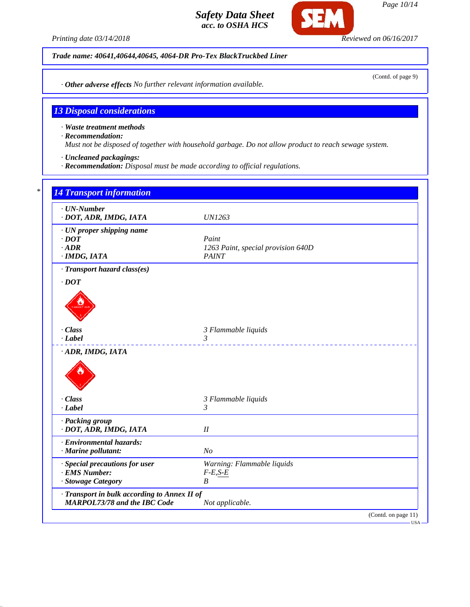*Printing date 03/14/2018 Reviewed on 06/16/2017*

SFI

*Trade name: 40641,40644,40645, 4064-DR Pro-Tex BlackTruckbed Liner*

*· Other adverse effects No further relevant information available.*

## *13 Disposal considerations*

*· Waste treatment methods*

*· Recommendation:*

*Must not be disposed of together with household garbage. Do not allow product to reach sewage system.*

*· Uncleaned packagings:*

*· Recommendation: Disposal must be made according to official regulations.*

| $\cdot$ UN-Number<br>· DOT, ADR, IMDG, IATA  | <b>UN1263</b>                      |  |
|----------------------------------------------|------------------------------------|--|
| · UN proper shipping name                    |                                    |  |
| $\cdot$ DOT                                  | Paint                              |  |
| $\cdot$ ADR                                  | 1263 Paint, special provision 640D |  |
| · IMDG, IATA                                 | <b>PAINT</b>                       |  |
| · Transport hazard class(es)                 |                                    |  |
| $\cdot$ DOT                                  |                                    |  |
|                                              |                                    |  |
|                                              |                                    |  |
|                                              |                                    |  |
| · Class                                      | 3 Flammable liquids                |  |
| $-Label$                                     | $\mathfrak{Z}$                     |  |
|                                              |                                    |  |
| · Class                                      | 3 Flammable liquids                |  |
| $-Label$                                     | $\mathcal{E}$                      |  |
| · Packing group                              |                                    |  |
| · DOT, ADR, IMDG, IATA                       | II                                 |  |
| · Environmental hazards:                     |                                    |  |
| · Marine pollutant:                          | N <sub>O</sub>                     |  |
| · Special precautions for user               | Warning: Flammable liquids         |  |
| · EMS Number:                                | $F-E,S-E$                          |  |
| · Stowage Category                           | $\boldsymbol{B}$                   |  |
|                                              |                                    |  |
| · Transport in bulk according to Annex II of |                                    |  |

*Page 10/14*

(Contd. of page 9)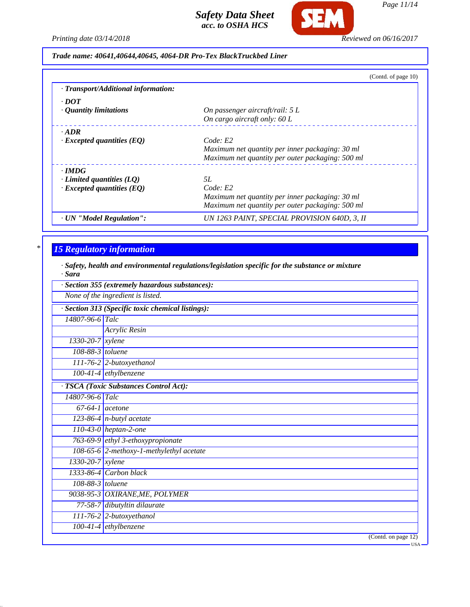

*Page 11/14*

*Printing date 03/14/2018 Reviewed on 06/16/2017*

*Trade name: 40641,40644,40645, 4064-DR Pro-Tex BlackTruckbed Liner*

|                                     | (Contd. of page 10)                              |
|-------------------------------------|--------------------------------------------------|
| · Transport/Additional information: |                                                  |
| $\cdot$ DOT                         |                                                  |
| $\cdot$ Quantity limitations        | On passenger aircraft/rail: $5 L$                |
|                                     | On cargo aircraft only: 60 L                     |
| $\cdot$ ADR                         |                                                  |
| $\cdot$ Excepted quantities (EQ)    | Code: E2                                         |
|                                     | Maximum net quantity per inner packaging: 30 ml  |
|                                     | Maximum net quantity per outer packaging: 500 ml |
| $\cdot$ IMDG                        |                                                  |
| $\cdot$ Limited quantities (LQ)     | 5L                                               |
| $\cdot$ Excepted quantities (EQ)    | Code: E2                                         |
|                                     | Maximum net quantity per inner packaging: 30 ml  |
|                                     | Maximum net quantity per outer packaging: 500 ml |
| · UN "Model Regulation":            | UN 1263 PAINT, SPECIAL PROVISION 640D, 3, II     |

## *\* 15 Regulatory information*

*· Safety, health and environmental regulations/legislation specific for the substance or mixture · Sara*

| · Section 355 (extremely hazardous substances): |                                                 |  |  |
|-------------------------------------------------|-------------------------------------------------|--|--|
|                                                 | None of the ingredient is listed.               |  |  |
|                                                 | Section 313 (Specific toxic chemical listings): |  |  |
| 14807-96-6 Talc                                 |                                                 |  |  |
|                                                 | Acrylic Resin                                   |  |  |
| $1330 - 20 - 7$ xylene                          |                                                 |  |  |
| 108-88-3 toluene                                |                                                 |  |  |
|                                                 | 111-76-2 2-butoxyethanol                        |  |  |
|                                                 | $\overline{100-41-4}$ ethylbenzene              |  |  |
|                                                 | · TSCA (Toxic Substances Control Act):          |  |  |
| 14807-96-6 Talc                                 |                                                 |  |  |
|                                                 | $67-64-1$ acetone                               |  |  |
|                                                 | $\sqrt{123-86-4}$ n-butyl acetate               |  |  |
|                                                 | 110-43-0 heptan-2-one                           |  |  |
|                                                 | 763-69-9 ethyl 3-ethoxypropionate               |  |  |
|                                                 | 108-65-6 2-methoxy-1-methylethyl acetate        |  |  |
| $\overline{1330}$ -20-7   xylene                |                                                 |  |  |
|                                                 | 1333-86-4 Carbon black                          |  |  |
| $108-88-3$ toluene                              |                                                 |  |  |
|                                                 | 9038-95-3 OXIRANE, ME, POLYMER                  |  |  |
|                                                 | 77-58-7 dibutyltin dilaurate                    |  |  |
|                                                 | $111-76-2$ 2-butoxyethanol                      |  |  |
|                                                 | $100-41-4$ ethylbenzene                         |  |  |
|                                                 | (Contd. on page 12)                             |  |  |
|                                                 | - USA                                           |  |  |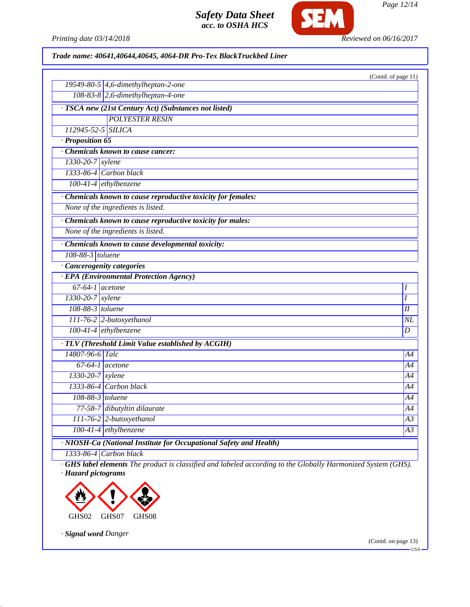

*Page 12/14*

*Printing date 03/14/2018 Reviewed on 06/16/2017*

*Trade name: 40641,40644,40645, 4064-DR Pro-Tex BlackTruckbed Liner*

|                                                                    | (Contd. of page 11) |
|--------------------------------------------------------------------|---------------------|
| 19549-80-5 4,6-dimethylheptan-2-one                                |                     |
| 108-83-8 2,6-dimethylheptan-4-one                                  |                     |
| · TSCA new (21st Century Act) (Substances not listed)              |                     |
| <b>POLYESTER RESIN</b>                                             |                     |
| 112945-52-5 SILICA                                                 |                     |
| · Proposition 65                                                   |                     |
| Chemicals known to cause cancer:                                   |                     |
| 1330-20-7 xylene                                                   |                     |
| 1333-86-4 Carbon black                                             |                     |
| $100-41-4$ ethylbenzene                                            |                     |
| · Chemicals known to cause reproductive toxicity for females:      |                     |
| None of the ingredients is listed.                                 |                     |
| · Chemicals known to cause reproductive toxicity for males:        |                     |
| None of the ingredients is listed.                                 |                     |
| · Chemicals known to cause developmental toxicity:                 |                     |
| 108-88-3 toluene                                                   |                     |
| · Cancerogenity categories                                         |                     |
| · EPA (Environmental Protection Agency)                            |                     |
| $67-64-1$ acetone                                                  | Ι                   |
| $1330-20-7$ xylene                                                 | I                   |
| 108-88-3 toluene                                                   | H                   |
| 111-76-2 2-butoxyethanol                                           | NL                  |
| 100-41-4 ethylbenzene                                              | D                   |
| · TLV (Threshold Limit Value established by ACGIH)                 |                     |
| 14807-96-6 Talc                                                    | A4                  |
| $67-64-1$ acetone                                                  | A4                  |
| $1330-20-7$ xylene                                                 | A4                  |
| 1333-86-4 Carbon black                                             | A4                  |
| 108-88-3 toluene                                                   | A4                  |
| 77-58-7 dibutyltin dilaurate                                       | A4                  |
| 111-76-2 2-butoxyethanol                                           | A3                  |
| 100-41-4 ethylbenzene                                              | A3                  |
| · NIOSH-Ca (National Institute for Occupational Safety and Health) |                     |

*1333-86-4 Carbon black*

*· GHS label elements The product is classified and labeled according to the Globally Harmonized System (GHS). · Hazard pictograms*



*· Signal word Danger*

(Contd. on page 13)

USA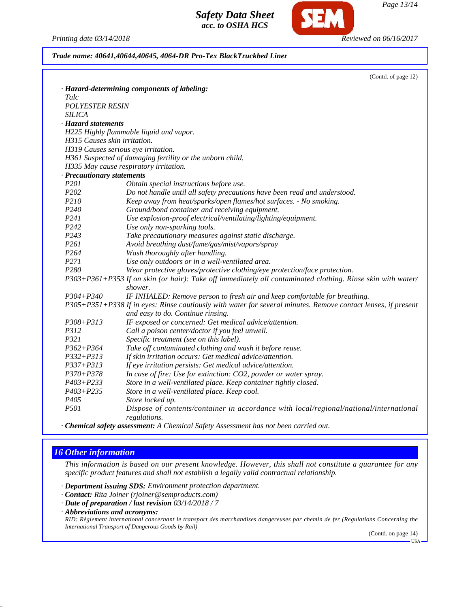*Printing date 03/14/2018 Reviewed on 06/16/2017*

*Trade name: 40641,40644,40645, 4064-DR Pro-Tex BlackTruckbed Liner*

|                              | (Contd. of page 12)                                                                                                                                |
|------------------------------|----------------------------------------------------------------------------------------------------------------------------------------------------|
|                              | · Hazard-determining components of labeling:                                                                                                       |
| Talc                         |                                                                                                                                                    |
| <b>POLYESTER RESIN</b>       |                                                                                                                                                    |
| <b>SILICA</b>                |                                                                                                                                                    |
| · Hazard statements          |                                                                                                                                                    |
|                              | H225 Highly flammable liquid and vapor.                                                                                                            |
| H315 Causes skin irritation. |                                                                                                                                                    |
|                              | H319 Causes serious eye irritation.                                                                                                                |
|                              | H361 Suspected of damaging fertility or the unborn child.                                                                                          |
|                              | H335 May cause respiratory irritation.                                                                                                             |
| · Precautionary statements   |                                                                                                                                                    |
| P <sub>201</sub>             | Obtain special instructions before use.                                                                                                            |
| P <sub>202</sub>             | Do not handle until all safety precautions have been read and understood.                                                                          |
| P210                         | Keep away from heat/sparks/open flames/hot surfaces. - No smoking.                                                                                 |
| P <sub>240</sub>             | Ground/bond container and receiving equipment.                                                                                                     |
| P241                         | Use explosion-proof electrical/ventilating/lighting/equipment.                                                                                     |
| P <sub>242</sub>             | Use only non-sparking tools.                                                                                                                       |
| P <sub>243</sub>             | Take precautionary measures against static discharge.                                                                                              |
| P261                         | Avoid breathing dust/fume/gas/mist/vapors/spray                                                                                                    |
| P264                         | Wash thoroughly after handling.                                                                                                                    |
| P271                         | Use only outdoors or in a well-ventilated area.                                                                                                    |
| P <sub>280</sub>             | Wear protective gloves/protective clothing/eye protection/face protection.                                                                         |
|                              | P303+P361+P353 If on skin (or hair): Take off immediately all contaminated clothing. Rinse skin with water/<br>shower.                             |
| $P304 + P340$                | IF INHALED: Remove person to fresh air and keep comfortable for breathing.                                                                         |
|                              | P305+P351+P338 If in eyes: Rinse cautiously with water for several minutes. Remove contact lenses, if present<br>and easy to do. Continue rinsing. |
| $P308 + P313$                | IF exposed or concerned: Get medical advice/attention.                                                                                             |
| P312                         | Call a poison center/doctor if you feel unwell.                                                                                                    |
| P321                         | Specific treatment (see on this label).                                                                                                            |
| $P362 + P364$                | Take off contaminated clothing and wash it before reuse.                                                                                           |
| $P332 + P313$                | If skin irritation occurs: Get medical advice/attention.                                                                                           |
| $P337 + P313$                | If eye irritation persists: Get medical advice/attention.                                                                                          |
| $P370 + P378$                | In case of fire: Use for extinction: CO2, powder or water spray.                                                                                   |
| $P403 + P233$                | Store in a well-ventilated place. Keep container tightly closed.                                                                                   |
| $P403 + P235$                | Store in a well-ventilated place. Keep cool.                                                                                                       |
| P <sub>405</sub>             | Store locked up.                                                                                                                                   |
| <i>P501</i>                  | Dispose of contents/container in accordance with local/regional/national/international<br>regulations.                                             |
|                              | <b>All Address Address</b>                                                                                                                         |

*· Chemical safety assessment: A Chemical Safety Assessment has not been carried out.*

# *16 Other information*

*This information is based on our present knowledge. However, this shall not constitute a guarantee for any specific product features and shall not establish a legally valid contractual relationship.*

*· Department issuing SDS: Environment protection department.*

- *· Contact: Rita Joiner (rjoiner@semproducts.com)*
- *· Date of preparation / last revision 03/14/2018 / 7*
- *· Abbreviations and acronyms:*

*RID: Règlement international concernant le transport des marchandises dangereuses par chemin de fer (Regulations Concerning the International Transport of Dangerous Goods by Rail)*

(Contd. on page 14)